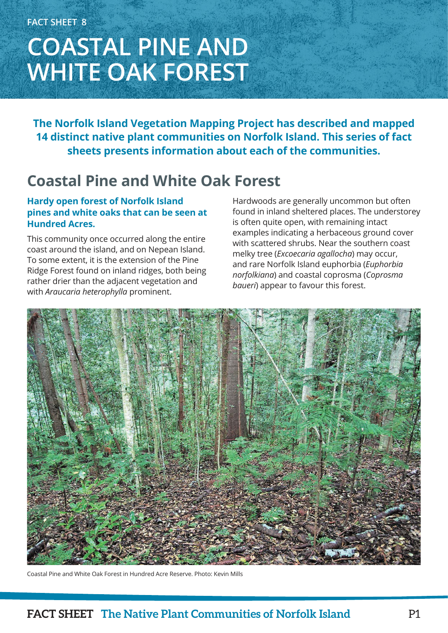# **COASTAL PINE AND WHITE OAK FOREST**

**The Norfolk Island Vegetation Mapping Project has described and mapped 14 distinct native plant communities on Norfolk Island. This series of fact sheets presents information about each of the communities.**

## **Coastal Pine and White Oak Forest**

### **Hardy open forest of Norfolk Island pines and white oaks that can be seen at Hundred Acres.**

This community once occurred along the entire coast around the island, and on Nepean Island. To some extent, it is the extension of the Pine Ridge Forest found on inland ridges, both being rather drier than the adjacent vegetation and with *Araucaria heterophylla* prominent.

Hardwoods are generally uncommon but often found in inland sheltered places. The understorey is often quite open, with remaining intact examples indicating a herbaceous ground cover with scattered shrubs. Near the southern coast melky tree (*Excoecaria agallocha*) may occur, and rare Norfolk Island euphorbia (*Euphorbia norfolkiana*) and coastal coprosma (*Coprosma baueri*) appear to favour this forest.



Coastal Pine and White Oak Forest in Hundred Acre Reserve. Photo: Kevin Mills